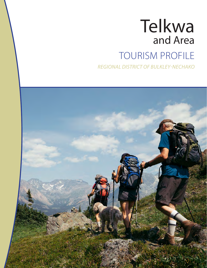# Telkwa and Area **TOURISM PROFILE**

**REGIONAL DISTRICT OF BULKLEY-NECHAKO** 

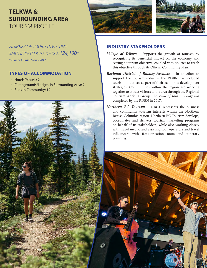## **TELKWA & SURROUNDING AREA** TOURISM PROFILE

*NUMBER OF TOURISTS VISITING SMITHERS/TELKWA & AREA 124,100\** 

*\*Value of Tourism Survey 2017*

### **TYPES OF ACCOMMODATION**

- Hotels/Motels: **2**
- Campgrounds/Lodges in Surrounding Area: **2**
- Beds in Community: **12**







#### **INDUSTRY STAKEHOLDERS**

- *Village of Telkwa* Supports the growth of tourism by recognizing its beneficial impact on the economy and setting a tourism objective, coupled with policies to reach this objective through its Official Community Plan.
- *Regional District of Bulkley-Nechak*o In an effort to support the tourism industry, the RDBN has included tourism initiatives as part of their economic development strategies. Communities within the region are working together to attract visitors to the area through the Regional Tourism Working Group. The *Value of Tourism Study* was completed by the RDBN in 2017.
- *Northern BC Tourism* NBCT represents the business and community tourism interests within the Northern British Columbia region. Northern BC Tourism develops, coordinates and delivers tourism marketing programs on behalf of its stakeholders, while also working closely with travel media, and assisting tour operators and travel influencers with familiarization tours and itinerary planning.

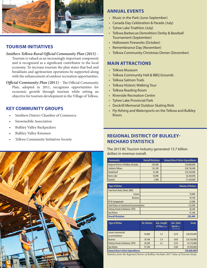

#### **TOURISM INITIATIVES**

#### *Smithers Telkwa Rural Official Community Plan (2015)* –

Tourism is valued as an increasingly important component and is recognized as a significant contributor to the local economy. To increase tourism the plan states that bed and breakfasts and agritourism operations be supported along with the enhancement of outdoor recreation opportunities.

*Official Community Plan (2011)* – The Official Community Plan, adopted in 2011, recognizes opportunities for economic growth through tourism while setting an objective for tourism development in the Village of Telkwa.

#### **KEY COMMUNITY GROUPS**

- Smithers District Chamber of Commerce
- Snowmobile Association
- Bulkley Valley Backpackers
- Bulkley Valley Kinsmen
- Telkwa Community Initiatives Society



#### **ANNUAL EVENTS**

- Music in the Park (June-September)
- Canada Day Celebration & Parade (July)
- Tyhee Lake Triathlon (July)
- Telkwa Barbecue Demolition Derby & Baseball Tournament (September)
- Halloween Fireworks (October)
- Remembrance Day (November)
- Telkwa Community Christmas Dinner (December)

#### **MAIN ATTRACTIONS**

- Telkwa Museum
- Telkwa Community Hall & BBQ Grounds
- Telkwa Salmon Trails
- Telkwa Historic Walking Tour
- Telkwa Reading Room
- Riverside Recreation Centre
- Tyhee Lake Provincial Park
- Dockrill Memorial Outdoor Skating Rink
- Fly-fishing and Watersports on the Telkwa and Bulkley Rivers

#### **REGIONAL DISTRICT OF BULKLEY-NECHAKO STATISTICS**

The 2015 BC Tourism Industry generated 15.7 billion dollars in revenue overall.

| <b>Community</b>                            | <b>Overall Visitation</b> | <b>Annual Direct Visitor Expenditures</b> |
|---------------------------------------------|---------------------------|-------------------------------------------|
| <b>Regional District of Bulkley-Nechako</b> | 250,400                   | \$58,680,000                              |
| Smithers/Telkwa                             | 124,100                   | \$28,730,000                              |
| Vanderhoof                                  | 35,300                    | \$10,220,000                              |
| <b>Burns Lake</b>                           | 30,000                    | \$6,360,000                               |
| Granisle                                    | 5,900                     | \$1,420,000                               |
|                                             |                           |                                           |
| <b>Type of Visitor</b>                      |                           | <b>Volume of Visitors</b>                 |
| Fixed Roof (Hotel, Motel, B&B)              |                           |                                           |
| Leisure                                     |                           | 70,800                                    |
| <b>Business</b>                             |                           | 39,100                                    |
| <b>RV &amp; Campground</b>                  |                           | 23,000                                    |

| RV & Campground                                    |  | 23,000  |
|----------------------------------------------------|--|---------|
| <b>Total Visitors in Commercial Accommodations</b> |  | 132,900 |
| Visiting Friends & Relatives (VFR)                 |  | 20,200  |
| Day Visitors                                       |  | 97,300  |
| <b>Overall Visitation</b>                          |  | 250,400 |

| <b>Type of Visitor</b>                    | <b>No. Visitors</b> | Ave. Length<br>of Stay (days) | Ave. Total<br><b>Spend</b> (per<br>visitor per trip) | <b>Totals</b> |
|-------------------------------------------|---------------------|-------------------------------|------------------------------------------------------|---------------|
| Leisure (commercial<br>accommodation)     | 93,800              | 3.2                           | \$210                                                | \$20,030,000  |
| <b>Business</b>                           | 39,100              | 5.4                           | \$630                                                | \$24,550,000  |
| Visiting Friends & Relatives (VFR)        | 20,200              | 4.5                           | \$210                                                | \$4,170,000   |
| <b>Day Visitors</b>                       | 97,300              |                               | \$100                                                | \$9,930,000   |
| <b>Annual direct visitor Expenditures</b> |                     |                               |                                                      | \$58,680,000  |

*Statistics from the Regional District of Bulkley-Nechako 2017 Value of Tourism Study.*